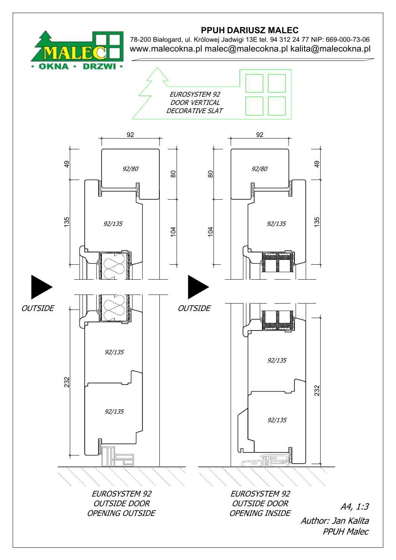

## PPUH DARIUSZ MALEC

78-200 Białogard, ul. Królowej Jadwigi 13E tel. 94 312 24 77 NIP: 669-000-73-06 www.malecokna.pl malec@malecokna.pl kalita@malecokna.pl

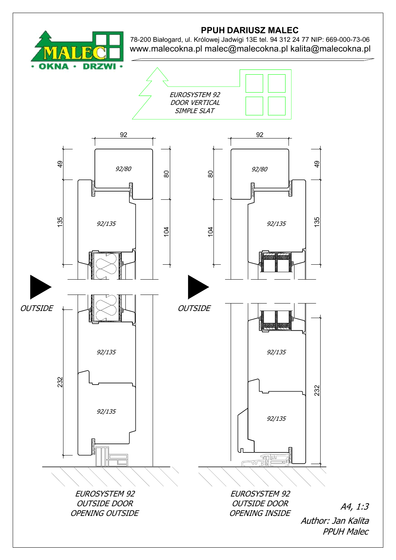

## PPUH DARIUSZ MALEC

78-200 Białogard, ul. Królowej Jadwigi 13E tel. 94 312 24 77 NIP: 669-000-73-06 www.malecokna.pl malec@malecokna.pl kalita@malecokna.pl

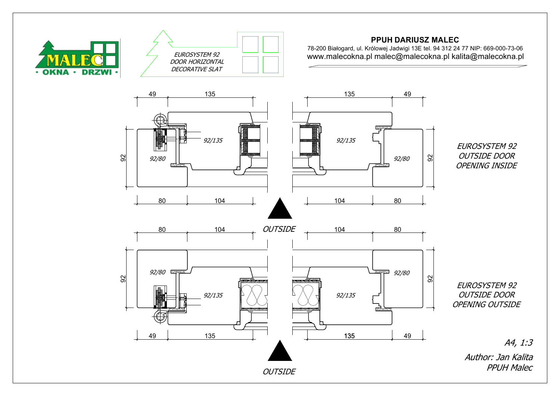